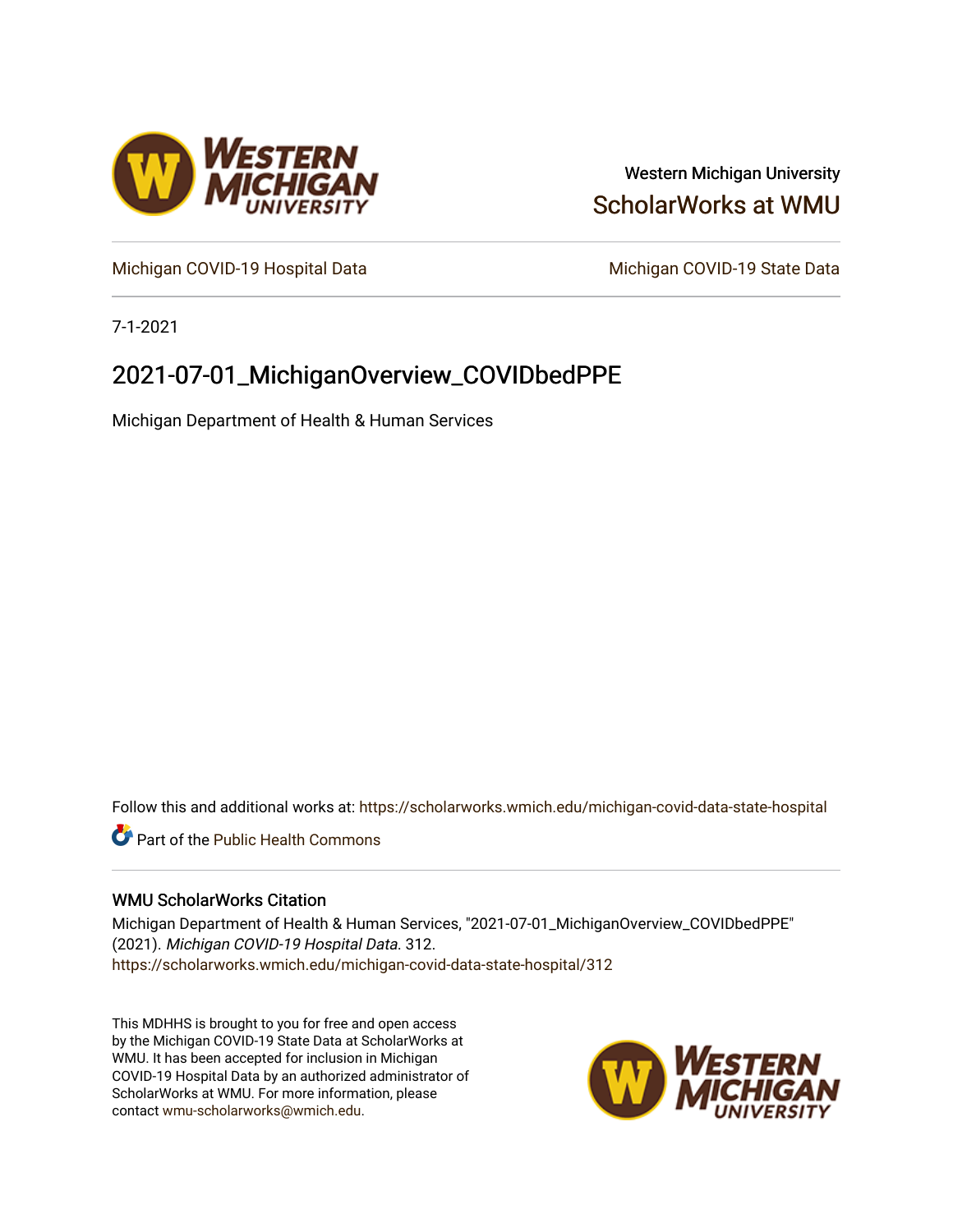

### Western Michigan University [ScholarWorks at WMU](https://scholarworks.wmich.edu/)

[Michigan COVID-19 Hospital Data](https://scholarworks.wmich.edu/michigan-covid-data-state-hospital) Michigan COVID-19 State Data

7-1-2021

## 2021-07-01\_MichiganOverview\_COVIDbedPPE

Michigan Department of Health & Human Services

Follow this and additional works at: [https://scholarworks.wmich.edu/michigan-covid-data-state-hospital](https://scholarworks.wmich.edu/michigan-covid-data-state-hospital?utm_source=scholarworks.wmich.edu%2Fmichigan-covid-data-state-hospital%2F312&utm_medium=PDF&utm_campaign=PDFCoverPages) 

**Part of the Public Health Commons** 

#### WMU ScholarWorks Citation

Michigan Department of Health & Human Services, "2021-07-01\_MichiganOverview\_COVIDbedPPE" (2021). Michigan COVID-19 Hospital Data. 312. [https://scholarworks.wmich.edu/michigan-covid-data-state-hospital/312](https://scholarworks.wmich.edu/michigan-covid-data-state-hospital/312?utm_source=scholarworks.wmich.edu%2Fmichigan-covid-data-state-hospital%2F312&utm_medium=PDF&utm_campaign=PDFCoverPages) 

This MDHHS is brought to you for free and open access by the Michigan COVID-19 State Data at ScholarWorks at WMU. It has been accepted for inclusion in Michigan COVID-19 Hospital Data by an authorized administrator of ScholarWorks at WMU. For more information, please contact [wmu-scholarworks@wmich.edu](mailto:wmu-scholarworks@wmich.edu).

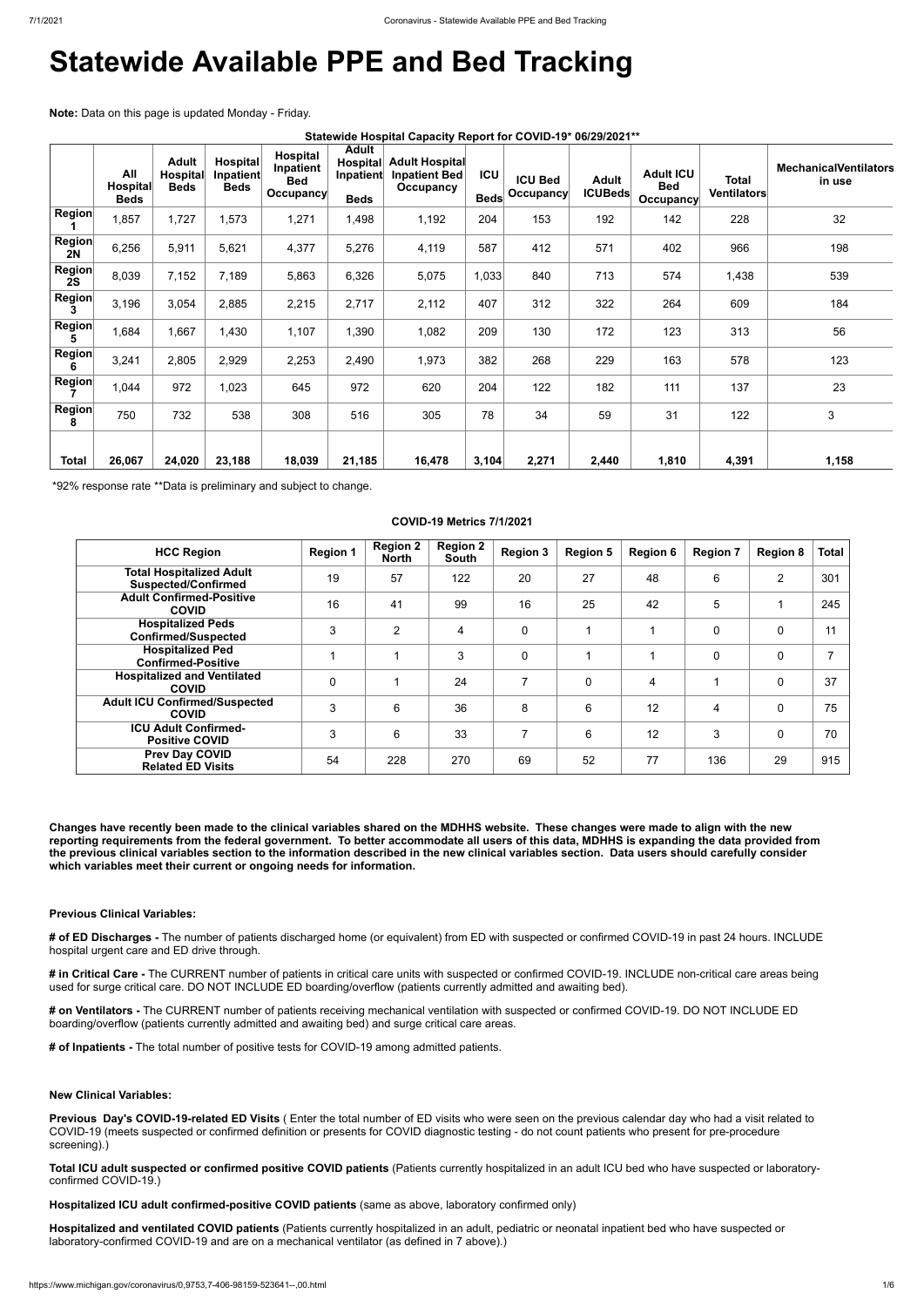# **Statewide Available PPE and Bed Tracking**

**Note:** Data on this page is updated Monday - Friday.

| Statewide Hospital Capacity Report for COVID-19* 06/29/2021** |
|---------------------------------------------------------------|
|---------------------------------------------------------------|

|                     | All<br><b>Hospital</b><br><b>Beds</b> | <b>Adult</b><br><b>Hospital</b><br><b>Beds</b> | <b>Hospital</b><br>Inpatient<br><b>Beds</b> | <b>Hospital</b><br>Inpatient<br><b>Bed</b><br>Occupancy | <b>Adult</b><br>Hospital<br>Inpatient<br><b>Beds</b> | <b>Adult Hospital</b><br><b>Inpatient Bed</b><br>Occupancy | <b>ICU</b><br><b>Beds</b> | <b>ICU Bed</b><br>Occupancy | <b>Adult</b><br><b>ICUBeds</b> | <b>Adult ICU</b><br><b>Bed</b><br><b>Occupancy</b> | Total<br>Ventilators | <b>MechanicalVentilators</b><br>in use |
|---------------------|---------------------------------------|------------------------------------------------|---------------------------------------------|---------------------------------------------------------|------------------------------------------------------|------------------------------------------------------------|---------------------------|-----------------------------|--------------------------------|----------------------------------------------------|----------------------|----------------------------------------|
| Region              | 1,857                                 | 1,727                                          | 1,573                                       | 1,271                                                   | 1,498                                                | 1,192                                                      | 204                       | 153                         | 192                            | 142                                                | 228                  | 32                                     |
| <b>Region</b><br>2N | 6,256                                 | 5,911                                          | 5,621                                       | 4,377                                                   | 5,276                                                | 4,119                                                      | 587                       | 412                         | 571                            | 402                                                | 966                  | 198                                    |
| <b>Region</b><br>2S | 8,039                                 | 7,152                                          | 7,189                                       | 5,863                                                   | 6,326                                                | 5,075                                                      | 1,033                     | 840                         | 713                            | 574                                                | 1,438                | 539                                    |
| <b>Region</b><br>3  | 3,196                                 | 3,054                                          | 2,885                                       | 2,215                                                   | 2,717                                                | 2,112                                                      | 407                       | 312                         | 322                            | 264                                                | 609                  | 184                                    |
| <b>Region</b><br>5  | 1,684                                 | 1,667                                          | 1,430                                       | 1,107                                                   | 1,390                                                | 1,082                                                      | 209                       | 130                         | 172                            | 123                                                | 313                  | 56                                     |
| <b>Region</b><br>6  | 3,241                                 | 2,805                                          | 2,929                                       | 2,253                                                   | 2,490                                                | 1,973                                                      | 382                       | 268                         | 229                            | 163                                                | 578                  | 123                                    |
| <b>Region</b>       | 1,044                                 | 972                                            | 1,023                                       | 645                                                     | 972                                                  | 620                                                        | 204                       | 122                         | 182                            | 111                                                | 137                  | 23                                     |
| <b>Region</b><br>8  | 750                                   | 732                                            | 538                                         | 308                                                     | 516                                                  | 305                                                        | 78                        | 34                          | 59                             | 31                                                 | 122                  | 3                                      |
| Total               | 26,067                                | 24,020                                         | 23,188                                      | 18,039                                                  | 21,185                                               | 16,478                                                     | 3,104                     | 2,271                       | 2,440                          | 1,810                                              | 4,391                | 1,158                                  |

\*92% response rate \*\*Data is preliminary and subject to change.

#### **COVID-19 Metrics 7/1/2021**

| <b>HCC Region</b>                                             | <b>Region 1</b> | <b>Region 2</b><br><b>North</b> | <b>Region 2</b><br>South | <b>Region 3</b> | <b>Region 5</b> | <b>Region 6</b> | <b>Region 7</b> | <b>Region 8</b> | <b>Total</b>   |
|---------------------------------------------------------------|-----------------|---------------------------------|--------------------------|-----------------|-----------------|-----------------|-----------------|-----------------|----------------|
| <b>Total Hospitalized Adult</b><br><b>Suspected/Confirmed</b> | 19              | 57                              | 122                      | 20              | 27              | 48              | 6               | $\overline{2}$  | 301            |
| <b>Adult Confirmed-Positive</b><br><b>COVID</b>               | 16              | 41                              | 99                       | 16              | 25              | 42              | 5               |                 | 245            |
| <b>Hospitalized Peds</b><br><b>Confirmed/Suspected</b>        | 3               | $\overline{2}$                  | 4                        | 0               |                 |                 | $\mathbf 0$     | 0               | 11             |
| <b>Hospitalized Ped</b><br><b>Confirmed-Positive</b>          |                 |                                 | 3                        | $\mathbf 0$     |                 |                 | 0               | 0               | $\overline{7}$ |
| <b>Hospitalized and Ventilated</b><br><b>COVID</b>            | $\mathbf 0$     |                                 | 24                       | 7               | $\mathbf 0$     | 4               |                 | 0               | 37             |
| <b>Adult ICU Confirmed/Suspected</b><br><b>COVID</b>          | 3               | 6                               | 36                       | 8               | 6               | 12              | 4               | 0               | 75             |
| <b>ICU Adult Confirmed-</b><br><b>Positive COVID</b>          | 3               | 6                               | 33                       | 7               | 6               | 12              | 3               | 0               | 70             |
| <b>Prev Day COVID</b><br><b>Related ED Visits</b>             | 54              | 228                             | 270                      | 69              | 52              | 77              | 136             | 29              | 915            |

**Changes have recently been made to the clinical variables shared on the MDHHS website. These changes were made to align with the new reporting requirements from the federal government. To better accommodate all users of this data, MDHHS is expanding the data provided from the previous clinical variables section to the information described in the new clinical variables section. Data users should carefully consider which variables meet their current or ongoing needs for information.**

#### **Previous Clinical Variables:**

**# of ED Discharges -** The number of patients discharged home (or equivalent) from ED with suspected or confirmed COVID-19 in past 24 hours. INCLUDE hospital urgent care and ED drive through.

**# in Critical Care -** The CURRENT number of patients in critical care units with suspected or confirmed COVID-19. INCLUDE non-critical care areas being

used for surge critical care. DO NOT INCLUDE ED boarding/overflow (patients currently admitted and awaiting bed).

**# on Ventilators -** The CURRENT number of patients receiving mechanical ventilation with suspected or confirmed COVID-19. DO NOT INCLUDE ED boarding/overflow (patients currently admitted and awaiting bed) and surge critical care areas.

**# of Inpatients -** The total number of positive tests for COVID-19 among admitted patients.

**New Clinical Variables:**

**Previous Day's COVID-19-related ED Visits** ( Enter the total number of ED visits who were seen on the previous calendar day who had a visit related to COVID-19 (meets suspected or confirmed definition or presents for COVID diagnostic testing - do not count patients who present for pre-procedure screening).)

**Total ICU adult suspected or confirmed positive COVID patients** (Patients currently hospitalized in an adult ICU bed who have suspected or laboratoryconfirmed COVID-19.)

**Hospitalized ICU adult confirmed-positive COVID patients** (same as above, laboratory confirmed only)

**Hospitalized and ventilated COVID patients** (Patients currently hospitalized in an adult, pediatric or neonatal inpatient bed who have suspected or laboratory-confirmed COVID-19 and are on a mechanical ventilator (as defined in 7 above).)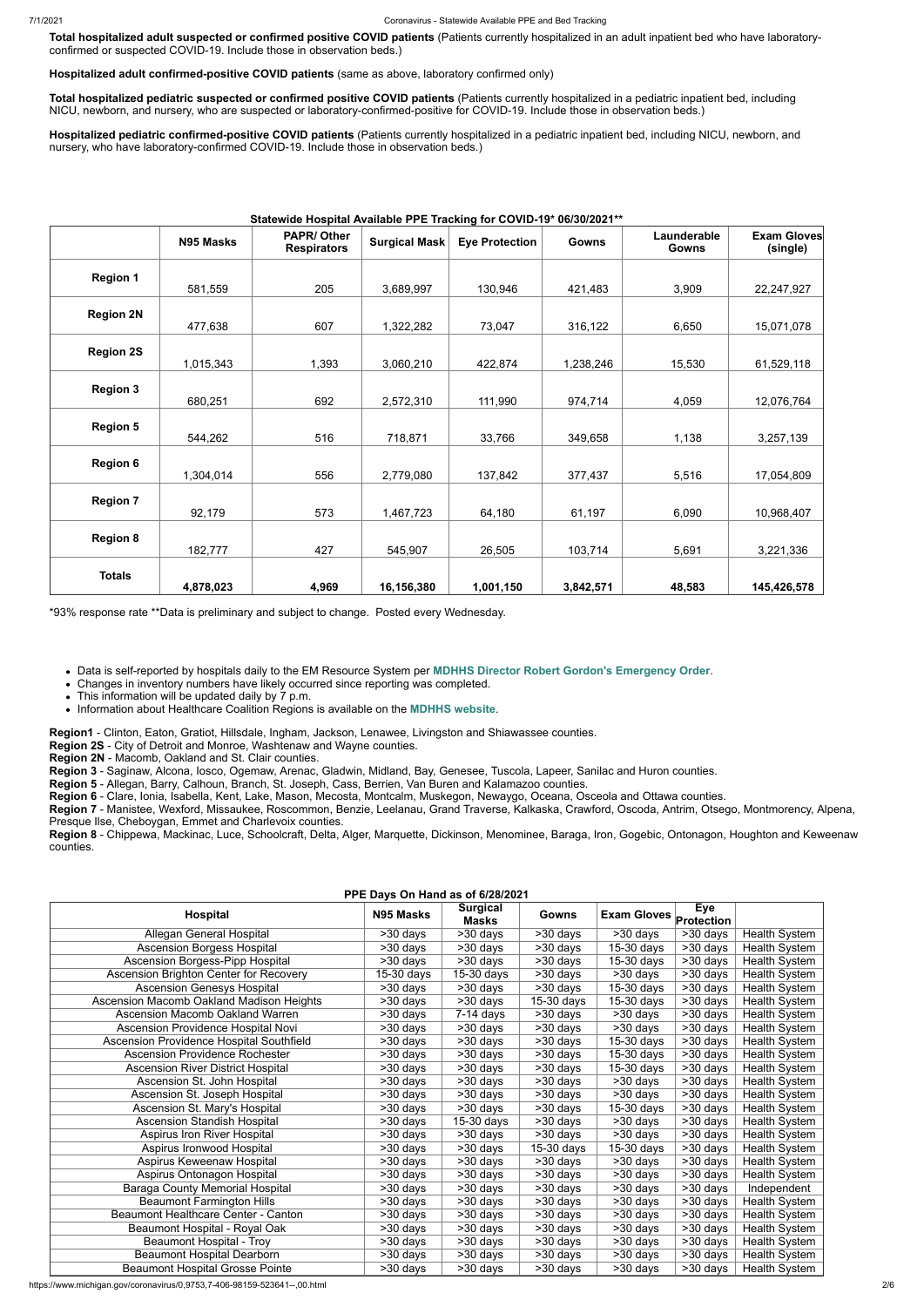**Total hospitalized adult suspected or confirmed positive COVID patients** (Patients currently hospitalized in an adult inpatient bed who have laboratoryconfirmed or suspected COVID-19. Include those in observation beds.)

**Hospitalized adult confirmed-positive COVID patients** (same as above, laboratory confirmed only)

**Total hospitalized pediatric suspected or confirmed positive COVID patients** (Patients currently hospitalized in a pediatric inpatient bed, including NICU, newborn, and nursery, who are suspected or laboratory-confirmed-positive for COVID-19. Include those in observation beds.)

**Hospitalized pediatric confirmed-positive COVID patients** (Patients currently hospitalized in a pediatric inpatient bed, including NICU, newborn, and nursery, who have laboratory-confirmed COVID-19. Include those in observation beds.)

#### **Statewide Hospital Available PPE Tracking for COVID-19\* 06/30/2021\*\***

|                  | N95 Masks | <b>PAPR/Other</b><br><b>Respirators</b> | <b>Surgical Mask</b> | <b>Eye Protection</b> | Gowns     | Launderable<br><b>Gowns</b> | <b>Exam Gloves</b><br>(single) |
|------------------|-----------|-----------------------------------------|----------------------|-----------------------|-----------|-----------------------------|--------------------------------|
| <b>Region 1</b>  |           |                                         |                      |                       |           |                             |                                |
|                  | 581,559   | 205                                     | 3,689,997            | 130,946               | 421,483   | 3,909                       | 22,247,927                     |
|                  |           |                                         |                      |                       |           |                             |                                |
| <b>Region 2N</b> | 477,638   | 607                                     | 1,322,282            | 73,047                | 316,122   | 6,650                       | 15,071,078                     |
|                  |           |                                         |                      |                       |           |                             |                                |
| <b>Region 2S</b> | 1,015,343 | 1,393                                   | 3,060,210            | 422,874               | 1,238,246 | 15,530                      | 61,529,118                     |
|                  |           |                                         |                      |                       |           |                             |                                |
| <b>Region 3</b>  | 680,251   | 692                                     | 2,572,310            | 111,990               | 974,714   | 4,059                       | 12,076,764                     |
|                  |           |                                         |                      |                       |           |                             |                                |
| <b>Region 5</b>  | 544,262   | 516                                     | 718,871              | 33,766                | 349,658   | 1,138                       | 3,257,139                      |
|                  |           |                                         |                      |                       |           |                             |                                |
| <b>Region 6</b>  | 1,304,014 | 556                                     | 2,779,080            | 137,842               | 377,437   | 5,516                       | 17,054,809                     |
|                  |           |                                         |                      |                       |           |                             |                                |
| <b>Region 7</b>  | 92,179    | 573                                     | 1,467,723            | 64,180                | 61,197    | 6,090                       | 10,968,407                     |
|                  |           |                                         |                      |                       |           |                             |                                |
| <b>Region 8</b>  | 182,777   | 427                                     | 545,907              | 26,505                | 103,714   | 5,691                       | 3,221,336                      |
|                  |           |                                         |                      |                       |           |                             |                                |
| <b>Totals</b>    | 4,878,023 | 4,969                                   | 16,156,380           | 1,001,150             | 3,842,571 | 48,583                      | 145,426,578                    |

\*93% response rate \*\*Data is preliminary and subject to change. Posted every Wednesday.

Data is self-reported by hospitals daily to the EM Resource System per **[MDHHS Director Robert Gordon's Emergency Order](https://www.michigan.gov/documents/coronavirus/MDHHS_epidemic_reporting_order_and_instructions_684709_7.pdf)**.

Changes in inventory numbers have likely occurred since reporting was completed.

• This information will be updated daily by 7 p.m.

Information about Healthcare Coalition Regions is available on the **[MDHHS website](https://www.michigan.gov/mdhhs/0,5885,7-339-71548_54783_54826_56171-237197--,00.html#hcc)**.

**Region1** - Clinton, Eaton, Gratiot, Hillsdale, Ingham, Jackson, Lenawee, Livingston and Shiawassee counties.

**Region 2S** - City of Detroit and Monroe, Washtenaw and Wayne counties.

**Region 2N** - Macomb, Oakland and St. Clair counties.

**Region 3** - Saginaw, Alcona, Iosco, Ogemaw, Arenac, Gladwin, Midland, Bay, Genesee, Tuscola, Lapeer, Sanilac and Huron counties.

**Region 5** - Allegan, Barry, Calhoun, Branch, St. Joseph, Cass, Berrien, Van Buren and Kalamazoo counties.

**Region 6** - Clare, Ionia, Isabella, Kent, Lake, Mason, Mecosta, Montcalm, Muskegon, Newaygo, Oceana, Osceola and Ottawa counties.

**Region 7** - Manistee, Wexford, Missaukee, Roscommon, Benzie, Leelanau, Grand Traverse, Kalkaska, Crawford, Oscoda, Antrim, Otsego, Montmorency, Alpena, Presque Ilse, Cheboygan, Emmet and Charlevoix counties.

**Region 8** - Chippewa, Mackinac, Luce, Schoolcraft, Delta, Alger, Marquette, Dickinson, Menominee, Baraga, Iron, Gogebic, Ontonagon, Houghton and Keweenaw counties.

| PPE Days On Hand as of 6/28/2021         |            |                                 |                       |                               |            |                      |  |  |  |
|------------------------------------------|------------|---------------------------------|-----------------------|-------------------------------|------------|----------------------|--|--|--|
| <b>Hospital</b>                          | N95 Masks  | <b>Surgical</b><br><b>Masks</b> | Gowns                 | <b>Exam Gloves</b> Protection | Eye        |                      |  |  |  |
| Allegan General Hospital                 | >30 days   | >30 days                        | >30 days              | >30 days                      | >30 days   | Health System        |  |  |  |
| Ascension Borgess Hospital               | >30 days   | >30 days                        | >30 days              | 15-30 days                    | >30 days   | Health System        |  |  |  |
| Ascension Borgess-Pipp Hospital          | $>30$ days | >30 days                        | >30 days              | 15-30 days                    | >30 days   | Health System        |  |  |  |
| Ascension Brighton Center for Recovery   | 15-30 days | 15-30 days                      | >30 days              | >30 days                      | >30 days   | Health System        |  |  |  |
| <b>Ascension Genesys Hospital</b>        | >30 days   | $\overline{>30}$ days           | >30 days              | $15-30$ days                  | >30 days   | Health System        |  |  |  |
| Ascension Macomb Oakland Madison Heights | >30 days   | >30 days                        | 15-30 days            | 15-30 days                    | >30 days   | Health System        |  |  |  |
| <b>Ascension Macomb Oakland Warren</b>   | >30 days   | 7-14 days                       | >30 days              | >30 days                      | $>30$ days | Health System        |  |  |  |
| Ascension Providence Hospital Novi       | >30 days   | >30 days                        | >30 days              | >30 days                      | >30 days   | <b>Health System</b> |  |  |  |
| Ascension Providence Hospital Southfield | >30 days   | >30 days                        | >30 days              | $15-30$ days                  | >30 days   | Health System        |  |  |  |
| <b>Ascension Providence Rochester</b>    | >30 days   | >30 days                        | >30 days              | 15-30 days                    | >30 days   | <b>Health System</b> |  |  |  |
| <b>Ascension River District Hospital</b> | >30 days   | >30 days                        | >30 days              | 15-30 days                    | >30 days   | Health System        |  |  |  |
| Ascension St. John Hospital              | >30 days   | >30 days                        | $>30$ days            | >30 days                      | >30 days   | Health System        |  |  |  |
| Ascension St. Joseph Hospital            | >30 days   | >30 days                        | $>30$ days            | >30 days                      | $>30$ days | Health System        |  |  |  |
| Ascension St. Mary's Hospital            | >30 days   | >30 days                        | >30 days              | 15-30 days                    | >30 days   | Health System        |  |  |  |
| <b>Ascension Standish Hospital</b>       | >30 days   | 15-30 days                      | >30 days              | >30 days                      | >30 days   | Health System        |  |  |  |
| Aspirus Iron River Hospital              | >30 days   | >30 days                        | >30 days              | >30 days                      | >30 days   | Health System        |  |  |  |
| Aspirus Ironwood Hospital                | >30 days   | >30 days                        | 15-30 days            | 15-30 days                    | >30 days   | Health System        |  |  |  |
| Aspirus Keweenaw Hospital                | >30 days   | >30 days                        | >30 days              | >30 days                      | >30 days   | Health System        |  |  |  |
| Aspirus Ontonagon Hospital               | >30 days   | >30 days                        | >30 days              | >30 days                      | >30 days   | <b>Health System</b> |  |  |  |
| Baraga County Memorial Hospital          | >30 days   | >30 days                        | >30 days              | >30 days                      | >30 days   | Independent          |  |  |  |
| <b>Beaumont Farmington Hills</b>         | >30 days   | >30 days                        | >30 days              | >30 days                      | >30 days   | Health System        |  |  |  |
| Beaumont Healthcare Center - Canton      | $>30$ days | $>30$ days                      | $\overline{>30}$ days | >30 days                      | $>30$ days | Health System        |  |  |  |
| Beaumont Hospital - Royal Oak            | >30 days   | >30 days                        | >30 days              | >30 days                      | >30 days   | <b>Health System</b> |  |  |  |
| Beaumont Hospital - Troy                 | >30 days   | >30 days                        | $>30$ days            | >30 days                      | >30 days   | Health System        |  |  |  |
| <b>Beaumont Hospital Dearborn</b>        | >30 days   | >30 days                        | >30 days              | >30 days                      | >30 days   | Health System        |  |  |  |
| <b>Beaumont Hospital Grosse Pointe</b>   | >30 days   | $>30$ days                      | >30 days              | >30 days                      | >30 days   | Health System        |  |  |  |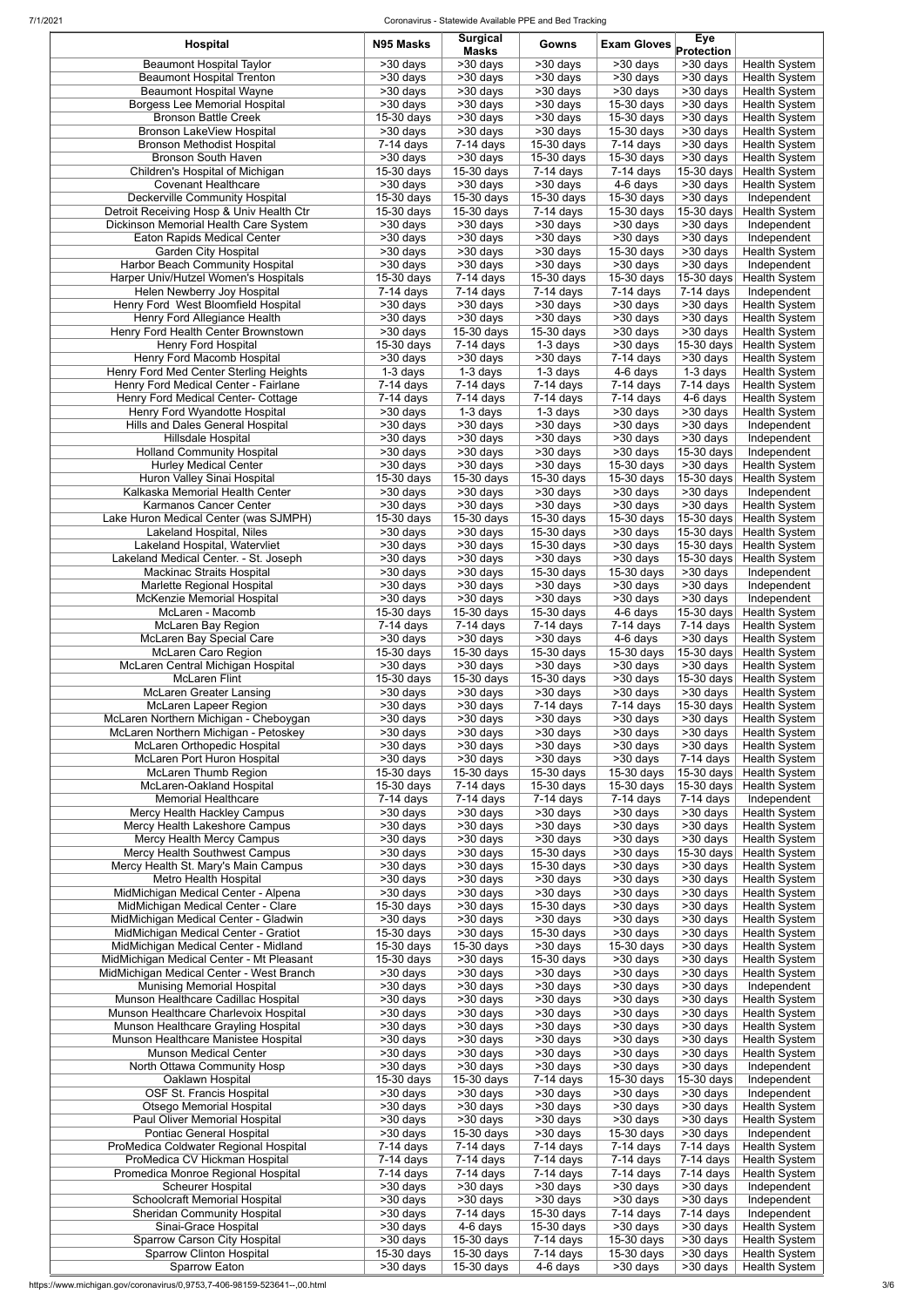7/1/2021 Coronavirus - Statewide Available PPE and Bed Tracking

| <b>Hospital</b>                                                                | N95 Masks                            | <b>Surgical</b><br><b>Masks</b> | Gowns                                            | <b>Exam Gloves</b>                             | <b>Eye</b><br>Protection                       |                                                  |
|--------------------------------------------------------------------------------|--------------------------------------|---------------------------------|--------------------------------------------------|------------------------------------------------|------------------------------------------------|--------------------------------------------------|
| <b>Beaumont Hospital Taylor</b>                                                | $>30$ days                           | >30 days                        | $\overline{>30}$ days                            | $\overline{>}30$ days                          | >30 days                                       | <b>Health System</b>                             |
| <b>Beaumont Hospital Trenton</b>                                               | $\overline{>30}$ days                | >30 days                        | $\overline{>30}$ days                            | >30 days                                       | $\overline{>30}$ days                          | <b>Health System</b>                             |
| <b>Beaumont Hospital Wayne</b><br><b>Borgess Lee Memorial Hospital</b>         | >30 days<br>>30 days                 | $>30$ days<br>$>30$ days        | >30 days<br>$>30$ days                           | >30 days<br>15-30 days                         | $>30$ days<br>>30 days                         | Health System<br><b>Health System</b>            |
| <b>Bronson Battle Creek</b>                                                    | 15-30 days                           | >30 days                        | $\overline{>30}$ days                            | 15-30 days                                     | >30 days                                       | <b>Health System</b>                             |
| Bronson LakeView Hospital                                                      | $>30$ days                           | >30 days                        | $\overline{\phantom{1}}$ > 30 days               | $15-30$ days                                   | $>30$ days                                     | <b>Health System</b>                             |
| <b>Bronson Methodist Hospital</b>                                              | $7-14$ days                          | $7-14$ days                     | 15-30 days                                       | $\overline{7}$ -14 days                        | $>30$ days                                     | <b>Health System</b>                             |
| <b>Bronson South Haven</b>                                                     | $>30$ days                           | >30 days                        | 15-30 days                                       | 15-30 days                                     | $>30$ days                                     | <b>Health System</b>                             |
| Children's Hospital of Michigan<br><b>Covenant Healthcare</b>                  | 15-30 days<br>$>30$ days             | 15-30 days<br>$>30$ days        | $7-14$ days<br>$>30$ days                        | 7-14 days<br>$\overline{4}$ -6 days            | 15-30 days<br>$>30$ days                       | <b>Health System</b><br>Health System            |
| <b>Deckerville Community Hospital</b>                                          | 15-30 days                           | 15-30 days                      | 15-30 days                                       | 15-30 days                                     | >30 days                                       | Independent                                      |
| Detroit Receiving Hosp & Univ Health Ctr                                       | $15-30$ days                         | 15-30 days                      | $\overline{7}$ -14 days                          | 15-30 days                                     | 15-30 days                                     | <b>Health System</b>                             |
| Dickinson Memorial Health Care System                                          | >30 days                             | >30 days                        | >30 days                                         | >30 days                                       | >30 days                                       | Independent                                      |
| Eaton Rapids Medical Center<br><b>Garden City Hospital</b>                     | >30 days<br>>30 days                 | >30 days<br>>30 days            | $\overline{>30}$ days<br>>30 days                | $\overline{>}30$ days<br>15-30 days            | >30 days<br>>30 days                           | Independent<br><b>Health System</b>              |
| Harbor Beach Community Hospital                                                | $\overline{>30}$ days                | >30 days                        | $\overline{>30}$ days                            | >30 days                                       | >30 days                                       | Independent                                      |
| Harper Univ/Hutzel Women's Hospitals                                           | $15-30$ days                         | $7-14$ days                     | 15-30 days                                       | 15-30 days                                     | 15-30 days                                     | <b>Health System</b>                             |
| Helen Newberry Joy Hospital                                                    | $\overline{7-14}$ days               | $7-14$ days                     | $7-14$ days                                      | 7-14 days                                      | $7-14$ days                                    | Independent                                      |
| Henry Ford West Bloomfield Hospital<br>Henry Ford Allegiance Health            | >30 days<br>$>30$ days               | >30 days<br>>30 days            | >30 days<br>>30 days                             | >30 days<br>>30 days                           | >30 days<br>$>30$ days                         | <b>Health System</b><br><b>Health System</b>     |
| Henry Ford Health Center Brownstown                                            | $>30$ days                           | 15-30 days                      | 15-30 days                                       | >30 days                                       | >30 days                                       | <b>Health System</b>                             |
| Henry Ford Hospital                                                            | 15-30 days                           | $7-14$ days                     | 1-3 days                                         | >30 days                                       | 15-30 days                                     | <b>Health System</b>                             |
| Henry Ford Macomb Hospital                                                     | >30 days                             | >30 days                        | >30 days                                         | $7-14$ days                                    | $>30$ days                                     | <b>Health System</b>                             |
| Henry Ford Med Center Sterling Heights<br>Henry Ford Medical Center - Fairlane | 1-3 days<br>7-14 days                | 1-3 days<br>$7-14$ days         | 1-3 days<br>7-14 days                            | 4-6 days<br>$7-14$ days                        | 1-3 days<br>$7-14$ days                        | <b>Health System</b><br><b>Health System</b>     |
| Henry Ford Medical Center- Cottage                                             | 7-14 days                            | $7-14$ days                     | $7-14$ days                                      | 7-14 days                                      | 4-6 days                                       | <b>Health System</b>                             |
| Henry Ford Wyandotte Hospital                                                  | $>30$ days                           | 1-3 days                        | $\overline{1}$ -3 days                           | $>30$ days                                     | $>30$ days                                     | <b>Health System</b>                             |
| Hills and Dales General Hospital                                               | $>30$ days                           | >30 days                        | $>30$ days                                       | >30 days                                       | $>30$ days                                     | Independent                                      |
| Hillsdale Hospital                                                             | $>30$ days                           | >30 days                        | $>30$ days                                       | >30 days                                       | $>30$ days                                     | Independent                                      |
| <b>Holland Community Hospital</b><br><b>Hurley Medical Center</b>              | $>30$ days<br>$\overline{>30}$ days  | >30 days<br>>30 days            | $>30$ days<br>$\overline{>30}$ days              | $\overline{>}30$ days<br>$15-30$ days          | 15-30 days<br>$\overline{>30}$ days            | Independent<br><b>Health System</b>              |
| Huron Valley Sinai Hospital                                                    | 15-30 days                           | 15-30 days                      | 15-30 days                                       | $15-30$ days                                   | 15-30 days                                     | <b>Health System</b>                             |
| Kalkaska Memorial Health Center                                                | >30 days                             | >30 days                        | $\overline{>30}$ days                            | $\overline{>30}$ days                          | >30 days                                       | Independent                                      |
| Karmanos Cancer Center                                                         | $\overline{>30}$ days                | >30 days                        | $\overline{\phantom{1}}$ > 30 days               | >30 days                                       | >30 days                                       | <b>Health System</b>                             |
| Lake Huron Medical Center (was SJMPH)<br>Lakeland Hospital, Niles              | $15-30$ days<br>$>30$ days           | 15-30 days<br>>30 days          | 15-30 days<br>15-30 days                         | 15-30 days<br>$>30$ days                       | 15-30 days                                     | 15-30 days Health System<br><b>Health System</b> |
| Lakeland Hospital, Watervliet                                                  | $\overline{>30}$ days                | >30 days                        | 15-30 days                                       | >30 days                                       | 15-30 days                                     | Health System                                    |
| Lakeland Medical Center. - St. Joseph                                          | $>30$ days                           | >30 days                        | $>30$ days                                       | $>30$ days                                     | 15-30 days                                     | <b>Health System</b>                             |
| Mackinac Straits Hospital                                                      | $>30$ days                           | >30 days                        | 15-30 days                                       | 15-30 days                                     | >30 days                                       | Independent                                      |
| Marlette Regional Hospital<br>McKenzie Memorial Hospital                       | >30 days<br>>30 days                 | >30 days<br>>30 days            | >30 days<br>>30 days                             | >30 days<br>>30 days                           | $\overline{\phantom{1}}$ > 30 days<br>>30 days | Independent<br>Independent                       |
| McLaren - Macomb                                                               | 15-30 days                           | 15-30 days                      | 15-30 days                                       | 4-6 days                                       | 15-30 days                                     | <b>Health System</b>                             |
| McLaren Bay Region                                                             | 7-14 days                            | $7-14$ days                     | $7-14$ days                                      | 7-14 days                                      | 7-14 days                                      | <b>Health System</b>                             |
| McLaren Bay Special Care                                                       | $>30$ days                           | >30 days                        | >30 days                                         | 4-6 days                                       | $>30$ days                                     | <b>Health System</b>                             |
| <b>McLaren Caro Region</b><br>McLaren Central Michigan Hospital                | 15-30 days<br>>30 days               | 15-30 days<br>>30 days          | 15-30 days<br>>30 days                           | 15-30 days<br>>30 days                         | 15-30 days<br>>30 days                         | <b>Health System</b><br><b>Health System</b>     |
| <b>McLaren Flint</b>                                                           | 15-30 days                           | 15-30 days                      | 15-30 days                                       | >30 days                                       | 15-30 days                                     | <b>Health System</b>                             |
| <b>McLaren Greater Lansing</b>                                                 | >30 days                             | >30 days                        | >30 days                                         | >30 days                                       | >30 days                                       | Health System                                    |
| <b>McLaren Lapeer Region</b>                                                   | >30 days                             | >30 days                        | 7-14 days                                        | $7-14$ days                                    | 15-30 days                                     | <b>Health System</b>                             |
| McLaren Northern Michigan - Cheboygan<br>McLaren Northern Michigan - Petoskey  | >30 days<br>>30 days                 | >30 days<br>>30 days            | >30 days<br>>30 days                             | >30 days<br>>30 days                           | >30 days<br>>30 days                           | <b>Health System</b><br><b>Health System</b>     |
| McLaren Orthopedic Hospital                                                    | $>30$ days                           | >30 days                        | $\overline{>}30$ days                            | >30 days                                       | $\overline{>30}$ days                          | <b>Health System</b>                             |
| McLaren Port Huron Hospital                                                    | $>30$ days                           | >30 days                        | >30 days                                         | >30 days                                       | $7-14$ days                                    | <b>Health System</b>                             |
| McLaren Thumb Region                                                           | $15-30$ days                         | 15-30 days                      | 15-30 days                                       | 15-30 days                                     | 15-30 days                                     | <b>Health System</b>                             |
| McLaren-Oakland Hospital<br><b>Memorial Healthcare</b>                         | 15-30 days<br>$\overline{7-14}$ days | $7-14$ days<br>$7-14$ days      | 15-30 days<br>$\overline{7}$ -14 days            | 15-30 days<br>$\overline{7}$ -14 days          | 15-30 days<br>7-14 days                        | <b>Health System</b><br>Independent              |
| Mercy Health Hackley Campus                                                    | $>30$ days                           | >30 days                        | >30 days                                         | >30 days                                       | >30 days                                       | <b>Health System</b>                             |
| Mercy Health Lakeshore Campus                                                  | $>30$ days                           | >30 days                        | $>30$ days                                       | >30 days                                       | $\overline{>}30$ days                          | <b>Health System</b>                             |
| Mercy Health Mercy Campus                                                      | $>30$ days                           | >30 days                        | $\overline{>30}$ days                            | >30 days                                       | $>30$ days                                     | <b>Health System</b>                             |
| Mercy Health Southwest Campus<br>Mercy Health St. Mary's Main Campus           | >30 days<br>$>30$ days               | >30 days<br>>30 days            | 15-30 days<br>15-30 days                         | >30 days<br>>30 days                           | 15-30 days<br>$>30$ days                       | Health System<br><b>Health System</b>            |
| Metro Health Hospital                                                          | >30 days                             | >30 days                        | >30 days                                         | >30 days                                       | >30 days                                       | <b>Health System</b>                             |
| MidMichigan Medical Center - Alpena                                            | $>30$ days                           | >30 days                        | $>30$ days                                       | >30 days                                       | $>30$ days                                     | <b>Health System</b>                             |
| MidMichigan Medical Center - Clare                                             | 15-30 days                           | >30 days                        | 15-30 days                                       | >30 days                                       | >30 days                                       | <b>Health System</b>                             |
| MidMichigan Medical Center - Gladwin<br>MidMichigan Medical Center - Gratiot   | $>30$ days<br>$15-30$ days           | >30 days<br>>30 days            | $\overline{\phantom{1}}$ > 30 days<br>15-30 days | >30 days<br>>30 days                           | $\overline{\phantom{1}}$ > 30 days<br>>30 days | Health System<br>Health System                   |
| MidMichigan Medical Center - Midland                                           | $15-30$ days                         | 15-30 days                      | >30 days                                         | 15-30 days                                     | $>30$ days                                     | Health System                                    |
| MidMichigan Medical Center - Mt Pleasant                                       | 15-30 days                           | >30 days                        | 15-30 days                                       | >30 days                                       | >30 days                                       | Health System                                    |
| MidMichigan Medical Center - West Branch                                       | >30 days                             | >30 days                        | >30 days                                         | >30 days                                       | $>30$ days                                     | Health System                                    |
| <b>Munising Memorial Hospital</b><br>Munson Healthcare Cadillac Hospital       | $>30$ days<br>$\overline{>30}$ days  | >30 days<br>>30 days            | $\overline{>30}$ days<br>$\overline{>30}$ days   | >30 days<br>>30 days                           | $>30$ days<br>$\overline{>30}$ days            | Independent<br><b>Health System</b>              |
| Munson Healthcare Charlevoix Hospital                                          | >30 days                             | >30 days                        | $>30$ days                                       | >30 days                                       | >30 days                                       | <b>Health System</b>                             |
| Munson Healthcare Grayling Hospital                                            | $\overline{>30}$ days                | >30 days                        | $\overline{>30}$ days                            | >30 days                                       | $\overline{>30}$ days                          | <b>Health System</b>                             |
| Munson Healthcare Manistee Hospital                                            | >30 days                             | >30 days                        | >30 days                                         | >30 days                                       | >30 days                                       | <b>Health System</b>                             |
| <b>Munson Medical Center</b><br>North Ottawa Community Hosp                    | >30 days<br>>30 days                 | >30 days                        | $\overline{>}30$ days<br>$\overline{>}30$ days   | >30 days<br>$\overline{\phantom{0}}$ > 30 days | >30 days<br>>30 days                           | <b>Health System</b>                             |
| Oaklawn Hospital                                                               | 15-30 days                           | >30 days<br>15-30 days          | $7-14$ days                                      | 15-30 days                                     | 15-30 days                                     | Independent<br>Independent                       |
| OSF St. Francis Hospital                                                       | >30 days                             | >30 days                        | $\overline{\phantom{1}}$ > 30 days               | >30 days                                       | >30 days                                       | Independent                                      |
| <b>Otsego Memorial Hospital</b>                                                | >30 days                             | >30 days                        | $\overline{\phantom{1}}$ > 30 days               | >30 days                                       | >30 days                                       | <b>Health System</b>                             |
| Paul Oliver Memorial Hospital<br>Pontiac General Hospital                      | >30 days<br>>30 days                 | >30 days<br>15-30 days          | >30 days<br>>30 days                             | >30 days<br>15-30 days                         | >30 days<br>>30 days                           | <b>Health System</b><br>Independent              |
| ProMedica Coldwater Regional Hospital                                          | $7-14$ days                          | $7-14$ days                     | $7-14$ days                                      | $7-14$ days                                    | $7-14$ days                                    | <b>Health System</b>                             |
| ProMedica CV Hickman Hospital                                                  | 7-14 days                            | 7-14 days                       | 7-14 days                                        | 7-14 days                                      | 7-14 days                                      | <b>Health System</b>                             |
| Promedica Monroe Regional Hospital                                             | $7-14$ days                          | $7-14$ days                     | $\overline{7}$ -14 days                          | 7-14 days                                      | $7-14$ days                                    | <b>Health System</b>                             |
| Scheurer Hospital<br><b>Schoolcraft Memorial Hospital</b>                      | >30 days<br>>30 days                 | >30 days<br>>30 days            | >30 days<br>$\overline{\phantom{1}}$ > 30 days   | >30 days<br>>30 days                           | >30 days<br>>30 days                           | Independent<br>Independent                       |
| Sheridan Community Hospital                                                    | >30 days                             | $7-14$ days                     | 15-30 days                                       | $7-14$ days                                    | $7-14$ days                                    | Independent                                      |
| Sinai-Grace Hospital                                                           | >30 days                             | 4-6 days                        | 15-30 days                                       | >30 days                                       | >30 days                                       | <b>Health System</b>                             |
| Sparrow Carson City Hospital                                                   | >30 days                             | 15-30 days                      | 7-14 days                                        | 15-30 days                                     | >30 days                                       | <b>Health System</b>                             |
| <b>Sparrow Clinton Hospital</b><br>Sparrow Eaton                               | 15-30 days<br>>30 days               | 15-30 days<br>15-30 days        | $7-14$ days<br>4-6 days                          | 15-30 days<br>>30 days                         | >30 days<br>>30 days                           | Health System<br>Health System                   |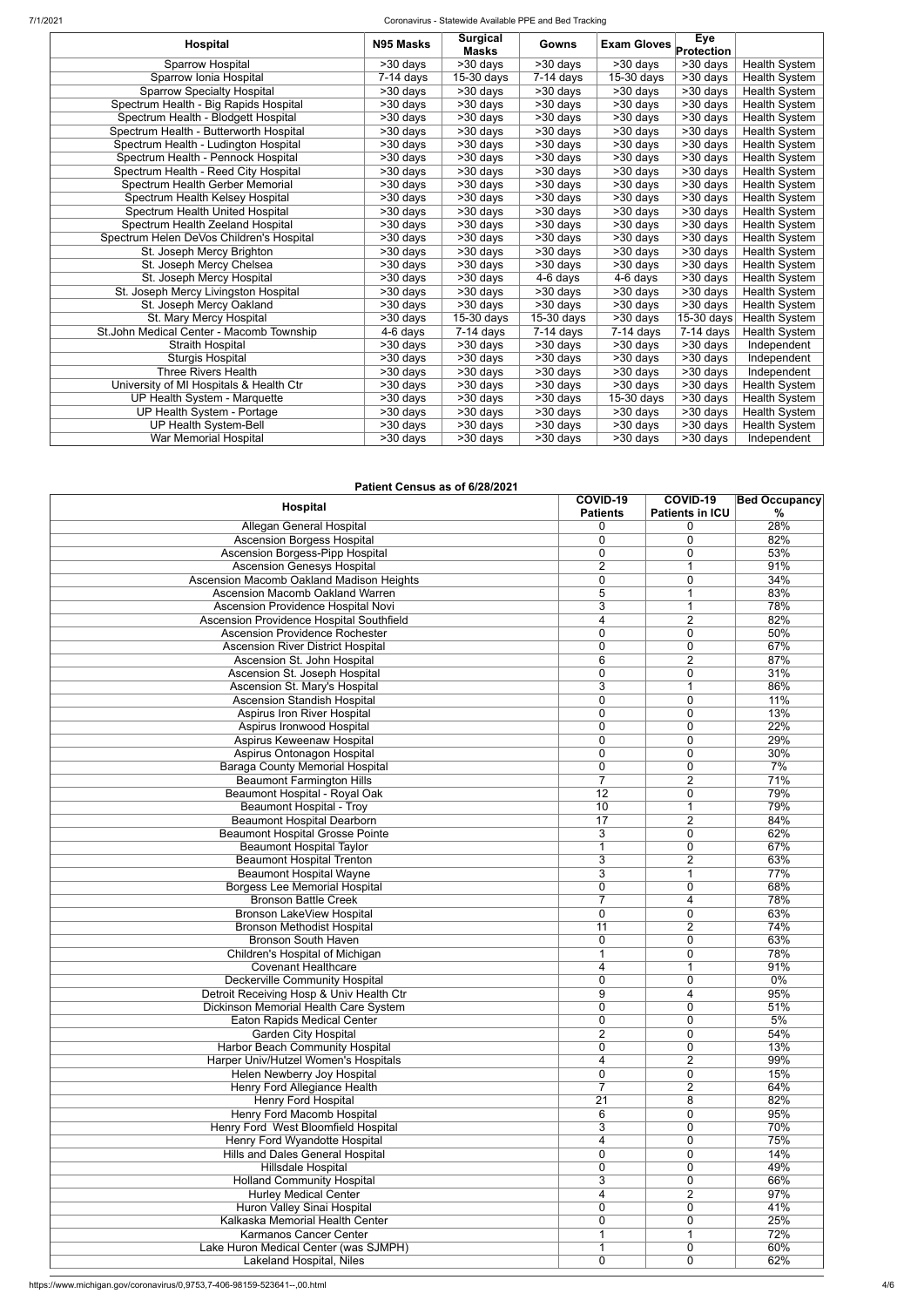7/1/2021 Coronavirus - Statewide Available PPE and Bed Tracking

| <b>Hospital</b>                          | N95 Masks             | <b>Surgical</b><br><b>Masks</b> | Gowns                              | <b>Exam Gloves</b>    | <b>Eye</b><br>Protection |                      |
|------------------------------------------|-----------------------|---------------------------------|------------------------------------|-----------------------|--------------------------|----------------------|
| Sparrow Hospital                         | >30 days              | >30 days                        | >30 days                           | >30 days              | >30 days                 | <b>Health System</b> |
| Sparrow Ionia Hospital                   | $7-14$ days           | $15-30$ days                    | $7-14$ days                        | 15-30 days            | $>30$ days               | <b>Health System</b> |
| <b>Sparrow Specialty Hospital</b>        | >30 days              | >30 days                        | >30 days                           | >30 days              | >30 days                 | <b>Health System</b> |
| Spectrum Health - Big Rapids Hospital    | >30 days              | >30 days                        | >30 days                           | >30 days              | $\overline{>30}$ days    | <b>Health System</b> |
| Spectrum Health - Blodgett Hospital      | >30 days              | >30 days                        | $>30$ days                         | >30 days              | $>30$ days               | <b>Health System</b> |
| Spectrum Health - Butterworth Hospital   | >30 days              | >30 days                        | >30 days                           | >30 days              | $>30$ days               | Health System        |
| Spectrum Health - Ludington Hospital     | >30 days              | >30 days                        | >30 days                           | >30 days              | $\overline{>}30$ days    | Health System        |
| Spectrum Health - Pennock Hospital       | >30 days              | >30 days                        | $>30$ days                         | >30 days              | $\overline{>30}$ days    | Health System        |
| Spectrum Health - Reed City Hospital     | >30 days              | $\overline{>}30$ days           | $\overline{\phantom{0}}$ > 30 days | $\overline{>}30$ days | >30 days                 | Health System        |
| Spectrum Health Gerber Memorial          | >30 days              | $>30$ days                      | $>30$ days                         | >30 days              | $>30$ days               | <b>Health System</b> |
| Spectrum Health Kelsey Hospital          | >30 days              | >30 days                        | $>30$ days                         | >30 days              | >30 days                 | Health System        |
| Spectrum Health United Hospital          | $\overline{>}30$ days | >30 days                        | $\overline{>30}$ days              | $\overline{>30}$ days | $\overline{>30}$ days    | Health System        |
| Spectrum Health Zeeland Hospital         | >30 days              | >30 days                        | >30 days                           | >30 days              | $>30$ days               | <b>Health System</b> |
| Spectrum Helen DeVos Children's Hospital | $>30$ days            | >30 days                        | $\overline{>30}$ days              | >30 days              | $\overline{>30}$ days    | <b>Health System</b> |
| St. Joseph Mercy Brighton                | >30 days              | >30 days                        | $>30$ days                         | $>30$ days            | $>30$ days               | <b>Health System</b> |
| St. Joseph Mercy Chelsea                 | $>30$ days            | $>30$ days                      | $\overline{>30}$ days              | $>30$ days            | $\overline{>30}$ days    | <b>Health System</b> |
| St. Joseph Mercy Hospital                | >30 days              | $>30$ days                      | 4-6 days                           | 4-6 days              | >30 days                 | <b>Health System</b> |
| St. Joseph Mercy Livingston Hospital     | $>30$ days            | >30 days                        | >30 days                           | >30 days              | $\overline{>30}$ days    | <b>Health System</b> |
| St. Joseph Mercy Oakland                 | >30 days              | >30 days                        | $>30$ days                         | >30 days              | >30 days                 | Health System        |
| St. Mary Mercy Hospital                  | >30 days              | 15-30 days                      | $15-30$ days                       | $>30$ days            | 15-30 days               | Health System        |
| St.John Medical Center - Macomb Township | 4-6 days              | $7-14$ days                     | $7-14$ days                        | $7-14$ days           | $7-14$ days              | Health System        |
| <b>Straith Hospital</b>                  | >30 days              | >30 days                        | >30 days                           | >30 days              | $>30$ days               | Independent          |
| Sturgis Hospital                         | >30 days              | >30 days                        | $>30$ days                         | $>30$ days            | $>30$ days               | Independent          |
| Three Rivers Health                      | >30 days              | >30 days                        | >30 days                           | >30 days              | >30 days                 | Independent          |
| University of MI Hospitals & Health Ctr  | >30 days              | >30 days                        | $>30$ days                         | $>30$ days            | $>30$ days               | Health System        |
| UP Health System - Marquette             | >30 days              | >30 days                        | >30 days                           | 15-30 days            | $>30$ days               | <b>Health System</b> |
| UP Health System - Portage               | >30 days              | >30 days                        | $\overline{\phantom{0}}$ > 30 days | $>30$ days            | >30 days                 | <b>Health System</b> |
| <b>UP Health System-Bell</b>             | >30 days              | >30 days                        | $>30$ days                         | >30 days              | >30 days                 | Health System        |
| War Memorial Hospital                    | >30 days              | >30 days                        | >30 days                           | >30 days              | >30 days                 | Independent          |

#### **Patient Census as of 6/28/2021**

| Hospital                                        | COVID-19<br><b>Patients</b> | COVID-19<br><b>Patients in ICU</b> | <b>Bed Occupancy</b><br>$\%$ |
|-------------------------------------------------|-----------------------------|------------------------------------|------------------------------|
| Allegan General Hospital                        | 0                           | 0                                  | 28%                          |
| <b>Ascension Borgess Hospital</b>               | 0                           | 0                                  | 82%                          |
| <b>Ascension Borgess-Pipp Hospital</b>          | 0                           | 0                                  | 53%                          |
| <b>Ascension Genesys Hospital</b>               | $\overline{2}$              | 1                                  | 91%                          |
| <b>Ascension Macomb Oakland Madison Heights</b> | 0                           | 0                                  | 34%                          |
| <b>Ascension Macomb Oakland Warren</b>          | 5                           |                                    | 83%                          |
| Ascension Providence Hospital Novi              | 3                           | 1                                  | 78%                          |
| Ascension Providence Hospital Southfield        | 4                           | $\overline{2}$                     | 82%                          |
| <b>Ascension Providence Rochester</b>           | $\mathbf 0$                 | 0                                  | 50%                          |
| <b>Ascension River District Hospital</b>        | 0                           | 0                                  | 67%                          |
| Ascension St. John Hospital                     | 6                           | $\overline{2}$                     | 87%                          |
| Ascension St. Joseph Hospital                   | 0                           | 0                                  | 31%                          |
| Ascension St. Mary's Hospital                   | 3                           |                                    | 86%                          |
| <b>Ascension Standish Hospital</b>              | 0                           | 0                                  | 11%                          |
| <b>Aspirus Iron River Hospital</b>              | $\mathbf 0$                 | 0                                  | 13%                          |
| Aspirus Ironwood Hospital                       | $\mathbf 0$                 | 0                                  | 22%                          |
| Aspirus Keweenaw Hospital                       | $\mathbf 0$                 | 0                                  | 29%                          |
| Aspirus Ontonagon Hospital                      | $\mathbf 0$                 | 0                                  | 30%                          |
| <b>Baraga County Memorial Hospital</b>          | $\mathbf 0$                 | 0                                  | 7%                           |
| <b>Beaumont Farmington Hills</b>                | 7                           | $\overline{2}$                     | 71%                          |
| Beaumont Hospital - Royal Oak                   | $\overline{12}$             | 0                                  | 79%                          |
| <b>Beaumont Hospital - Troy</b>                 | 10                          | 1                                  | 79%                          |
|                                                 | $\overline{17}$             |                                    |                              |
| <b>Beaumont Hospital Dearborn</b>               |                             | $\overline{2}$                     | 84%<br>62%                   |
| <b>Beaumont Hospital Grosse Pointe</b>          | 3                           | $\mathbf 0$                        |                              |
| <b>Beaumont Hospital Taylor</b>                 | 1                           | $\mathbf 0$                        | 67%                          |
| <b>Beaumont Hospital Trenton</b>                | 3                           | $\overline{2}$                     | 63%                          |
| <b>Beaumont Hospital Wayne</b>                  | 3                           | 1                                  | 77%                          |
| Borgess Lee Memorial Hospital                   | 0                           | $\mathbf 0$                        | 68%                          |
| <b>Bronson Battle Creek</b>                     | 7                           | 4                                  | 78%                          |
| Bronson LakeView Hospital                       | 0                           | 0                                  | 63%                          |
| <b>Bronson Methodist Hospital</b>               | 11                          | $\overline{2}$                     | 74%                          |
| <b>Bronson South Haven</b>                      | 0                           | $\mathbf 0$                        | 63%                          |
| Children's Hospital of Michigan                 |                             | 0                                  | 78%                          |
| <b>Covenant Healthcare</b>                      | 4                           | 1                                  | 91%                          |
| <b>Deckerville Community Hospital</b>           | 0                           | 0                                  | $0\%$                        |
| Detroit Receiving Hosp & Univ Health Ctr        | 9                           | 4                                  | 95%                          |
| Dickinson Memorial Health Care System           | 0                           | 0                                  | 51%                          |
| <b>Eaton Rapids Medical Center</b>              | 0                           | 0                                  | 5%                           |
| <b>Garden City Hospital</b>                     | $\overline{2}$              | 0                                  | 54%                          |
| Harbor Beach Community Hospital                 | 0                           | 0                                  | 13%                          |
| Harper Univ/Hutzel Women's Hospitals            | 4                           | $\overline{2}$                     | 99%                          |
| <b>Helen Newberry Joy Hospital</b>              | 0                           | 0                                  | 15%                          |
| Henry Ford Allegiance Health                    | $\overline{7}$              | $\overline{2}$                     | 64%                          |
| <b>Henry Ford Hospital</b>                      | 21                          | 8                                  | 82%                          |
| Henry Ford Macomb Hospital                      | 6                           | 0                                  | 95%                          |
| Henry Ford West Bloomfield Hospital             | 3                           | 0                                  | 70%                          |
| Henry Ford Wyandotte Hospital                   | 4                           | 0                                  | 75%                          |
| Hills and Dales General Hospital                | 0                           | 0                                  | 14%                          |
| <b>Hillsdale Hospital</b>                       | 0                           | 0                                  | 49%                          |
| <b>Holland Community Hospital</b>               | 3                           | 0                                  | 66%                          |
| <b>Hurley Medical Center</b>                    | 4                           | $\overline{2}$                     | 97%                          |
| Huron Valley Sinai Hospital                     | 0                           | $\mathbf 0$                        | 41%                          |
| Kalkaska Memorial Health Center                 | 0                           | 0                                  | 25%                          |
| <b>Karmanos Cancer Center</b>                   |                             |                                    | 72%                          |
| Lake Huron Medical Center (was SJMPH)           |                             | 0                                  | 60%                          |
| Lakeland Hospital, Niles                        | 0                           | 0                                  | 62%                          |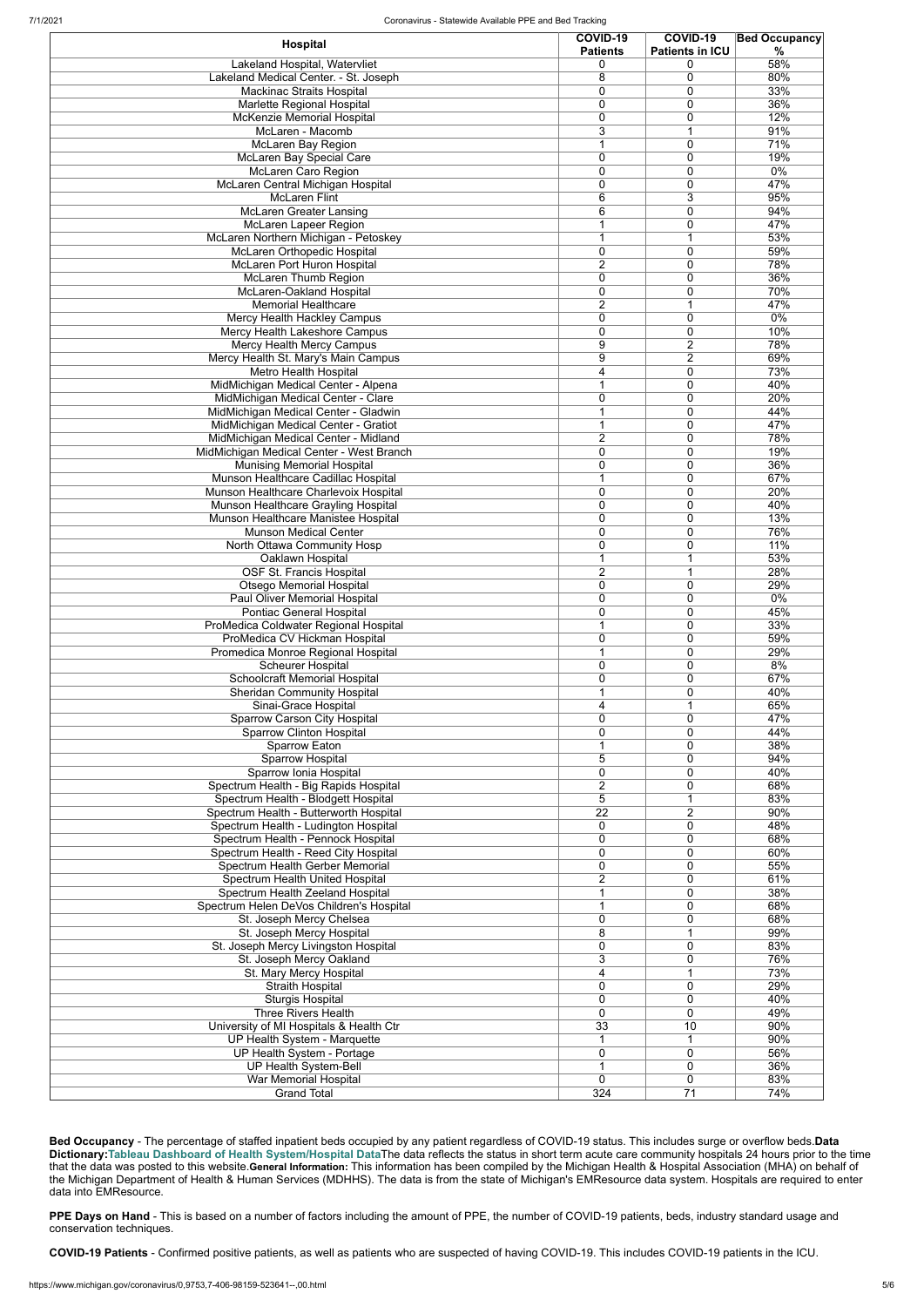| Hospital                                                                     | COVID-19<br><b>Patients</b>    | <b>COVID-19</b><br><b>Patients in ICU</b> | <b>Bed Occupancy</b><br>$\%$ |
|------------------------------------------------------------------------------|--------------------------------|-------------------------------------------|------------------------------|
| Lakeland Hospital, Watervliet                                                | 0                              | $\Omega$                                  | 58%                          |
| Lakeland Medical Center. - St. Joseph                                        | 8                              | 0                                         | 80%                          |
| <b>Mackinac Straits Hospital</b>                                             | 0<br>0                         | 0<br>$\mathbf 0$                          | 33%<br>36%                   |
| Marlette Regional Hospital<br>McKenzie Memorial Hospital                     | 0                              | 0                                         | 12%                          |
| McLaren - Macomb                                                             | 3                              |                                           | 91%                          |
| McLaren Bay Region                                                           |                                | $\mathbf 0$                               | 71%                          |
| McLaren Bay Special Care                                                     | 0                              | 0                                         | 19%                          |
| McLaren Caro Region                                                          | $\mathbf 0$                    | 0                                         | 0%                           |
| McLaren Central Michigan Hospital<br><b>McLaren Flint</b>                    | 0<br>6                         | $\mathbf 0$<br>3                          | 47%<br>95%                   |
| <b>McLaren Greater Lansing</b>                                               | 6                              | $\mathbf 0$                               | 94%                          |
| McLaren Lapeer Region                                                        |                                | $\mathbf 0$                               | 47%                          |
| McLaren Northern Michigan - Petoskey                                         |                                |                                           | 53%                          |
| McLaren Orthopedic Hospital                                                  | $\mathbf 0$                    | $\mathbf 0$                               | 59%                          |
| McLaren Port Huron Hospital                                                  | $\overline{2}$                 | $\mathbf{0}$                              | 78%                          |
| McLaren Thumb Region                                                         | $\mathbf{0}$<br>$\mathbf{0}$   | $\Omega$<br>$\mathbf{0}$                  | 36%<br>70%                   |
| McLaren-Oakland Hospital<br><b>Memorial Healthcare</b>                       | $\overline{2}$                 | 1                                         | 47%                          |
| Mercy Health Hackley Campus                                                  | 0                              | $\mathbf{0}$                              | 0%                           |
| Mercy Health Lakeshore Campus                                                | 0                              | $\mathbf 0$                               | 10%                          |
| Mercy Health Mercy Campus                                                    | 9                              | $\overline{2}$                            | 78%                          |
| Mercy Health St. Mary's Main Campus                                          | 9                              | $\overline{2}$                            | 69%                          |
| Metro Health Hospital                                                        | 4                              | $\mathbf 0$                               | 73%                          |
| MidMichigan Medical Center - Alpena<br>MidMichigan Medical Center - Clare    | 1<br>0                         | $\mathbf 0$<br>$\mathbf 0$                | 40%<br>20%                   |
| MidMichigan Medical Center - Gladwin                                         | 1                              | $\mathbf 0$                               | 44%                          |
| MidMichigan Medical Center - Gratiot                                         | 1                              | $\mathbf 0$                               | 47%                          |
| MidMichigan Medical Center - Midland                                         | $\overline{2}$                 | $\mathbf 0$                               | 78%                          |
| MidMichigan Medical Center - West Branch                                     | 0                              | $\mathbf 0$                               | 19%                          |
| <b>Munising Memorial Hospital</b>                                            | 0                              | $\mathbf 0$                               | 36%                          |
| Munson Healthcare Cadillac Hospital                                          | 1                              | $\mathbf 0$                               | 67%                          |
| Munson Healthcare Charlevoix Hospital<br>Munson Healthcare Grayling Hospital | 0<br>0                         | $\mathbf 0$<br>0                          | 20%<br>40%                   |
| Munson Healthcare Manistee Hospital                                          | 0                              | 0                                         | 13%                          |
| <b>Munson Medical Center</b>                                                 | 0                              | 0                                         | 76%                          |
| North Ottawa Community Hosp                                                  | 0                              | 0                                         | 11%                          |
| Oaklawn Hospital                                                             |                                |                                           | 53%                          |
| OSF St. Francis Hospital                                                     | $\overline{2}$                 | $\overline{1}$                            | 28%                          |
| <b>Otsego Memorial Hospital</b><br>Paul Oliver Memorial Hospital             | $\mathbf 0$<br>0               | $\mathbf 0$<br>$\mathbf 0$                | 29%<br>$0\%$                 |
| Pontiac General Hospital                                                     | 0                              | $\mathbf 0$                               | 45%                          |
| ProMedica Coldwater Regional Hospital                                        |                                | $\mathbf 0$                               | 33%                          |
| ProMedica CV Hickman Hospital                                                | 0                              | $\mathbf 0$                               | 59%                          |
| Promedica Monroe Regional Hospital                                           | 1                              | $\mathbf 0$                               | 29%                          |
| <b>Scheurer Hospital</b>                                                     | $\mathbf 0$                    | $\mathbf 0$                               | 8%                           |
| Schoolcraft Memorial Hospital                                                | 0                              | $\mathbf 0$<br>$\mathbf 0$                | 67%<br>40%                   |
| <b>Sheridan Community Hospital</b><br>Sinai-Grace Hospital                   | 4                              | 1                                         | 65%                          |
| <b>Sparrow Carson City Hospital</b>                                          | $\mathbf{0}$                   | $\Omega$                                  | 47%                          |
| <b>Sparrow Clinton Hospital</b>                                              | $\mathbf{0}$                   | $\Omega$                                  | 44%                          |
| Sparrow Eaton                                                                | 1                              | $\Omega$                                  | 38%                          |
| Sparrow Hospital                                                             | 5                              | $\Omega$                                  | 94%                          |
| Sparrow Ionia Hospital                                                       | 0<br>$\overline{2}$            | $\mathbf 0$<br>$\mathbf 0$                | 40%<br>68%                   |
| Spectrum Health - Big Rapids Hospital<br>Spectrum Health - Blodgett Hospital | 5                              | 1                                         | 83%                          |
| Spectrum Health - Butterworth Hospital                                       | 22                             | $\overline{2}$                            | 90%                          |
| Spectrum Health - Ludington Hospital                                         | $\mathbf 0$                    | $\mathbf 0$                               | 48%                          |
| Spectrum Health - Pennock Hospital                                           | $\mathbf{0}$                   | $\mathbf 0$                               | 68%                          |
| Spectrum Health - Reed City Hospital                                         | 0                              | $\mathbf 0$                               | 60%                          |
| Spectrum Health Gerber Memorial<br>Spectrum Health United Hospital           | $\mathbf 0$<br>$\overline{2}$  | $\mathbf 0$<br>$\mathbf 0$                | 55%<br>61%                   |
| Spectrum Health Zeeland Hospital                                             |                                | $\mathbf 0$                               | 38%                          |
| Spectrum Helen DeVos Children's Hospital                                     | 1                              | $\mathbf 0$                               | 68%                          |
| St. Joseph Mercy Chelsea                                                     | 0                              | $\mathbf 0$                               | 68%                          |
| St. Joseph Mercy Hospital                                                    | 8                              | $\overline{1}$                            | 99%                          |
| St. Joseph Mercy Livingston Hospital                                         | 0                              | 0                                         | 83%                          |
| St. Joseph Mercy Oakland                                                     | 3                              | $\mathbf 0$<br>1                          | 76%<br>73%                   |
| St. Mary Mercy Hospital<br><b>Straith Hospital</b>                           | 4<br>0                         | $\mathbf 0$                               | 29%                          |
| <b>Sturgis Hospital</b>                                                      | 0                              | 0                                         | 40%                          |
| <b>Three Rivers Health</b>                                                   | 0                              | 0                                         | 49%                          |
| University of MI Hospitals & Health Ctr                                      | $\overline{33}$                | 10                                        | 90%                          |
| UP Health System - Marquette                                                 |                                |                                           | 90%                          |
| <b>UP Health System - Portage</b>                                            | $\overline{0}$                 | $\mathbf 0$                               | 56%                          |
| UP Health System-Bell<br><b>War Memorial Hospital</b>                        | $\mathbf{1}$<br>$\overline{0}$ | $\pmb{0}$<br>$\pmb{0}$                    | 36%<br>83%                   |
| <b>Grand Total</b>                                                           | 324                            | $\overline{71}$                           | 74%                          |
|                                                                              |                                |                                           |                              |

**Bed Occupancy** - The percentage of staffed inpatient beds occupied by any patient regardless of COVID-19 status. This includes surge or overflow beds.**Data Dictionary:[Tableau Dashboard of Health System/Hospital Data](https://public.tableau.com/profile/mhapublic#!/vizhome/COVIDPublicDashboard/PleaseRead)**The data reflects the status in short term acute care community hospitals 24 hours prior to the time that the data was posted to this website.**General Information:** This information has been compiled by the Michigan Health & Hospital Association (MHA) on behalf of the Michigan Department of Health & Human Services (MDHHS). The data is from the state of Michigan's EMResource data system. Hospitals are required to enter data into EMResource.

**PPE Days on Hand** - This is based on a number of factors including the amount of PPE, the number of COVID-19 patients, beds, industry standard usage and conservation techniques.

**COVID-19 Patients** - Confirmed positive patients, as well as patients who are suspected of having COVID-19. This includes COVID-19 patients in the ICU.